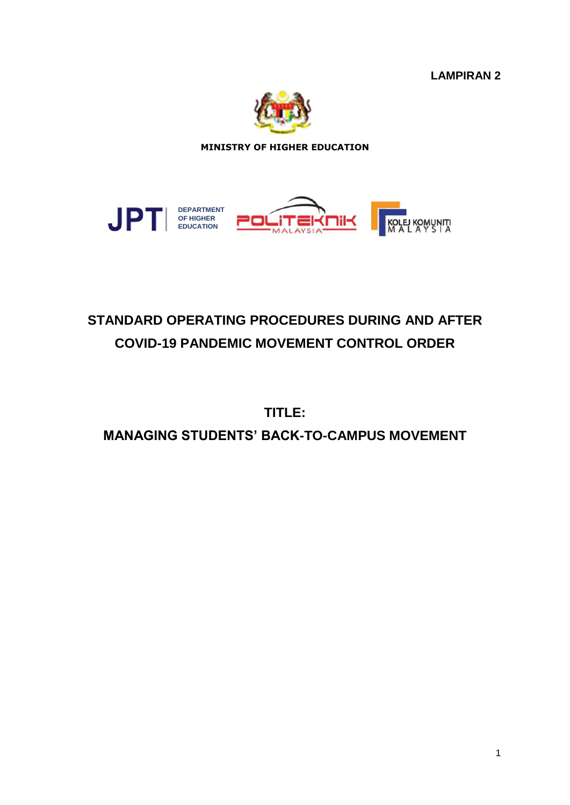**LAMPIRAN 2**



**MINISTRY OF HIGHER EDUCATION**



# **STANDARD OPERATING PROCEDURES DURING AND AFTER COVID-19 PANDEMIC MOVEMENT CONTROL ORDER**

**TITLE: MANAGING STUDENTS' BACK-TO-CAMPUS MOVEMENT**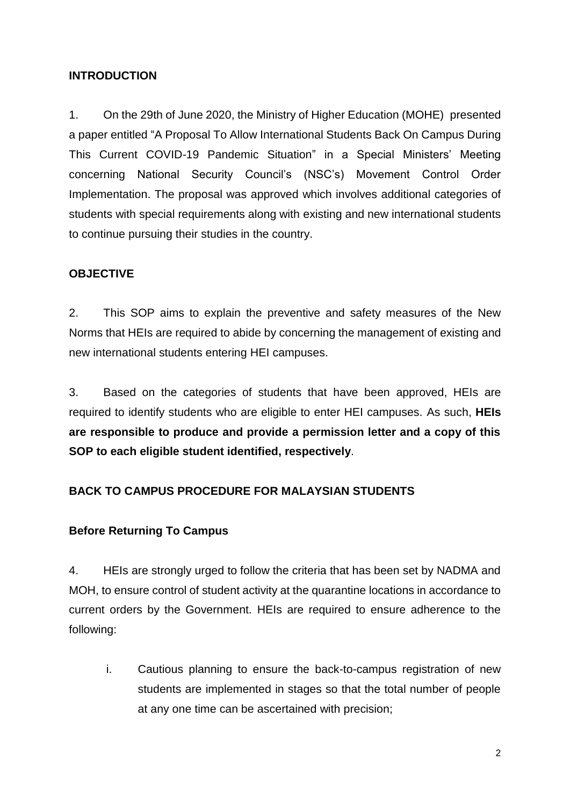#### **INTRODUCTION**

1. On the 29th of June 2020, the Ministry of Higher Education (MOHE) presented a paper entitled "A Proposal To Allow International Students Back On Campus During This Current COVID-19 Pandemic Situation" in a Special Ministers' Meeting concerning National Security Council's (NSC's) Movement Control Order Implementation. The proposal was approved which involves additional categories of students with special requirements along with existing and new international students to continue pursuing their studies in the country.

#### **OBJECTIVE**

2. This SOP aims to explain the preventive and safety measures of the New Norms that HEIs are required to abide by concerning the management of existing and new international students entering HEI campuses.

3. Based on the categories of students that have been approved, HEIs are required to identify students who are eligible to enter HEI campuses. As such, **HEIs are responsible to produce and provide a permission letter and a copy of this SOP to each eligible student identified, respectively**.

# **BACK TO CAMPUS PROCEDURE FOR MALAYSIAN STUDENTS**

#### **Before Returning To Campus**

4. HEIs are strongly urged to follow the criteria that has been set by NADMA and MOH, to ensure control of student activity at the quarantine locations in accordance to current orders by the Government. HEIs are required to ensure adherence to the following:

i. Cautious planning to ensure the back-to-campus registration of new students are implemented in stages so that the total number of people at any one time can be ascertained with precision;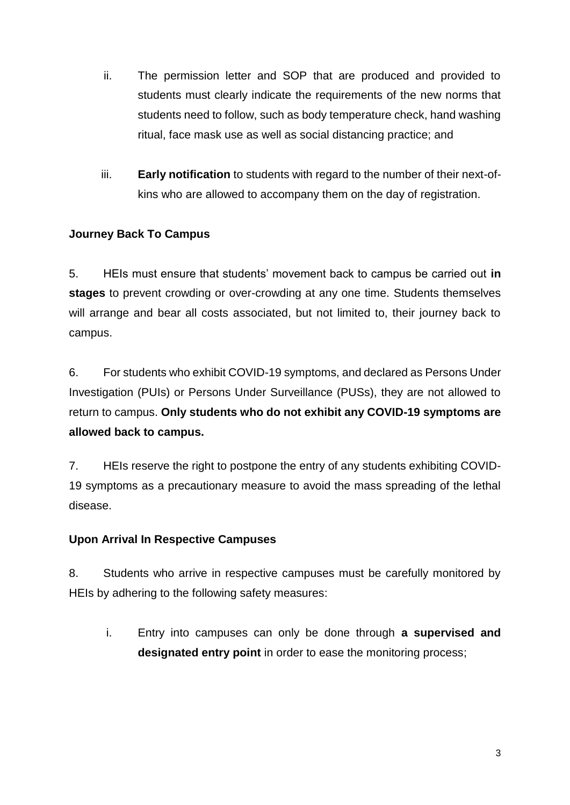- ii. The permission letter and SOP that are produced and provided to students must clearly indicate the requirements of the new norms that students need to follow, such as body temperature check, hand washing ritual, face mask use as well as social distancing practice; and
- iii. **Early notification** to students with regard to the number of their next-ofkins who are allowed to accompany them on the day of registration.

# **Journey Back To Campus**

5. HEIs must ensure that students' movement back to campus be carried out **in stages** to prevent crowding or over-crowding at any one time. Students themselves will arrange and bear all costs associated, but not limited to, their journey back to campus.

6. For students who exhibit COVID-19 symptoms, and declared as Persons Under Investigation (PUIs) or Persons Under Surveillance (PUSs), they are not allowed to return to campus. **Only students who do not exhibit any COVID-19 symptoms are allowed back to campus.**

7. HEIs reserve the right to postpone the entry of any students exhibiting COVID-19 symptoms as a precautionary measure to avoid the mass spreading of the lethal disease.

# **Upon Arrival In Respective Campuses**

8. Students who arrive in respective campuses must be carefully monitored by HEIs by adhering to the following safety measures:

i. Entry into campuses can only be done through **a supervised and designated entry point** in order to ease the monitoring process;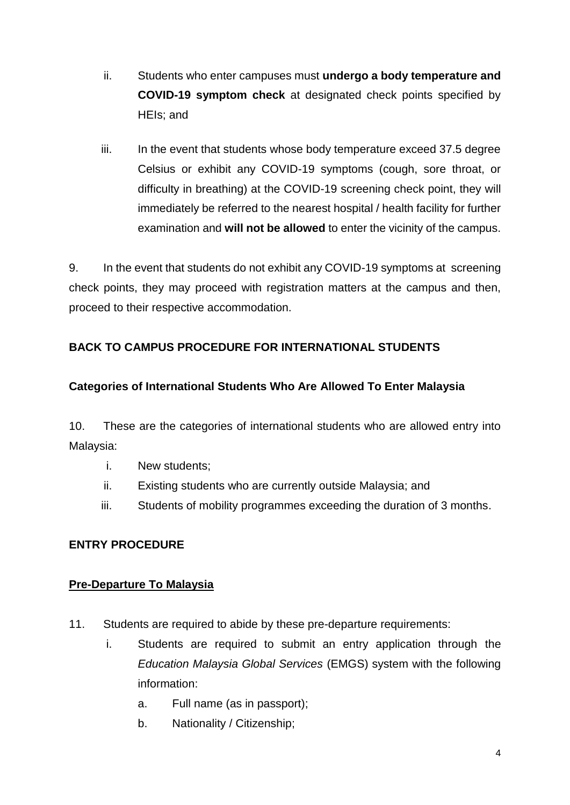- ii. Students who enter campuses must **undergo a body temperature and COVID-19 symptom check** at designated check points specified by HEIs; and
- iii. In the event that students whose body temperature exceed 37.5 degree Celsius or exhibit any COVID-19 symptoms (cough, sore throat, or difficulty in breathing) at the COVID-19 screening check point, they will immediately be referred to the nearest hospital / health facility for further examination and **will not be allowed** to enter the vicinity of the campus.

9. In the event that students do not exhibit any COVID-19 symptoms at screening check points, they may proceed with registration matters at the campus and then, proceed to their respective accommodation.

# **BACK TO CAMPUS PROCEDURE FOR INTERNATIONAL STUDENTS**

# **Categories of International Students Who Are Allowed To Enter Malaysia**

10. These are the categories of international students who are allowed entry into Malaysia:

- i. New students;
- ii. Existing students who are currently outside Malaysia; and
- iii. Students of mobility programmes exceeding the duration of 3 months.

# **ENTRY PROCEDURE**

#### **Pre-Departure To Malaysia**

- 11. Students are required to abide by these pre-departure requirements:
	- i. Students are required to submit an entry application through the *Education Malaysia Global Services* (EMGS) system with the following information:
		- a. Full name (as in passport);
		- b. Nationality / Citizenship;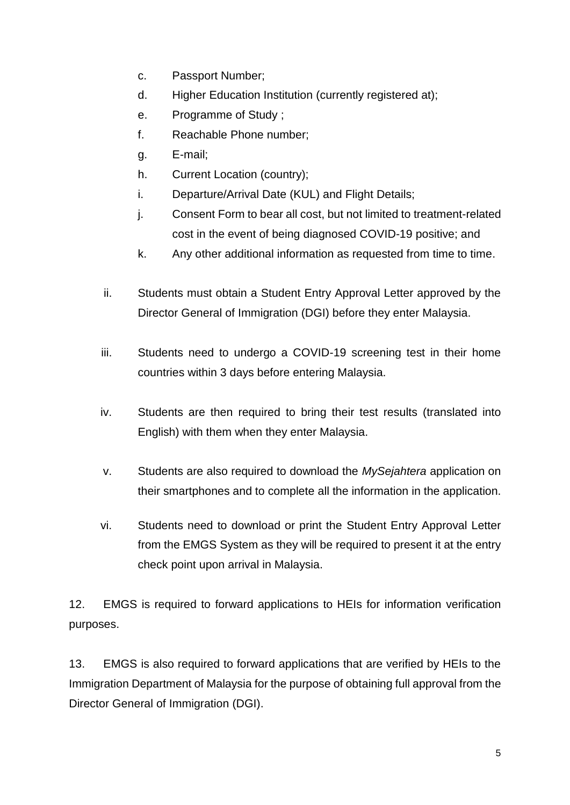- c. Passport Number;
- d. Higher Education Institution (currently registered at);
- e. Programme of Study ;
- f. Reachable Phone number;
- g. E-mail;
- h. Current Location (country);
- i. Departure/Arrival Date (KUL) and Flight Details;
- j. Consent Form to bear all cost, but not limited to treatment-related cost in the event of being diagnosed COVID-19 positive; and
- k. Any other additional information as requested from time to time.
- ii. Students must obtain a Student Entry Approval Letter approved by the Director General of Immigration (DGI) before they enter Malaysia.
- iii. Students need to undergo a COVID-19 screening test in their home countries within 3 days before entering Malaysia.
- iv. Students are then required to bring their test results (translated into English) with them when they enter Malaysia.
- v. Students are also required to download the *MySejahtera* application on their smartphones and to complete all the information in the application.
- vi. Students need to download or print the Student Entry Approval Letter from the EMGS System as they will be required to present it at the entry check point upon arrival in Malaysia.

12. EMGS is required to forward applications to HEIs for information verification purposes.

13. EMGS is also required to forward applications that are verified by HEIs to the Immigration Department of Malaysia for the purpose of obtaining full approval from the Director General of Immigration (DGI).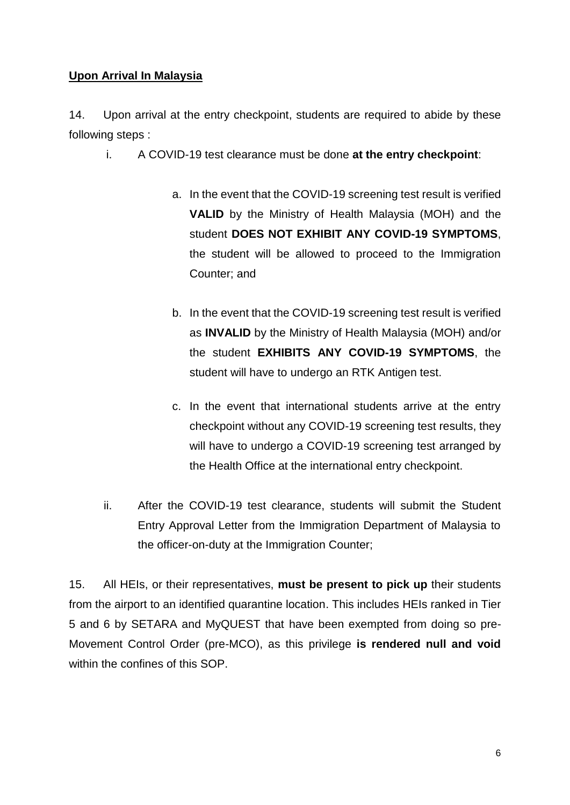#### **Upon Arrival In Malaysia**

14. Upon arrival at the entry checkpoint, students are required to abide by these following steps :

- i. A COVID-19 test clearance must be done **at the entry checkpoint**:
	- a. In the event that the COVID-19 screening test result is verified **VALID** by the Ministry of Health Malaysia (MOH) and the student **DOES NOT EXHIBIT ANY COVID-19 SYMPTOMS**, the student will be allowed to proceed to the Immigration Counter; and
	- b. In the event that the COVID-19 screening test result is verified as **INVALID** by the Ministry of Health Malaysia (MOH) and/or the student **EXHIBITS ANY COVID-19 SYMPTOMS**, the student will have to undergo an RTK Antigen test.
	- c. In the event that international students arrive at the entry checkpoint without any COVID-19 screening test results, they will have to undergo a COVID-19 screening test arranged by the Health Office at the international entry checkpoint.
- ii. After the COVID-19 test clearance, students will submit the Student Entry Approval Letter from the Immigration Department of Malaysia to the officer-on-duty at the Immigration Counter;

15. All HEIs, or their representatives, **must be present to pick up** their students from the airport to an identified quarantine location. This includes HEIs ranked in Tier 5 and 6 by SETARA and MyQUEST that have been exempted from doing so pre-Movement Control Order (pre-MCO), as this privilege **is rendered null and void** within the confines of this SOP.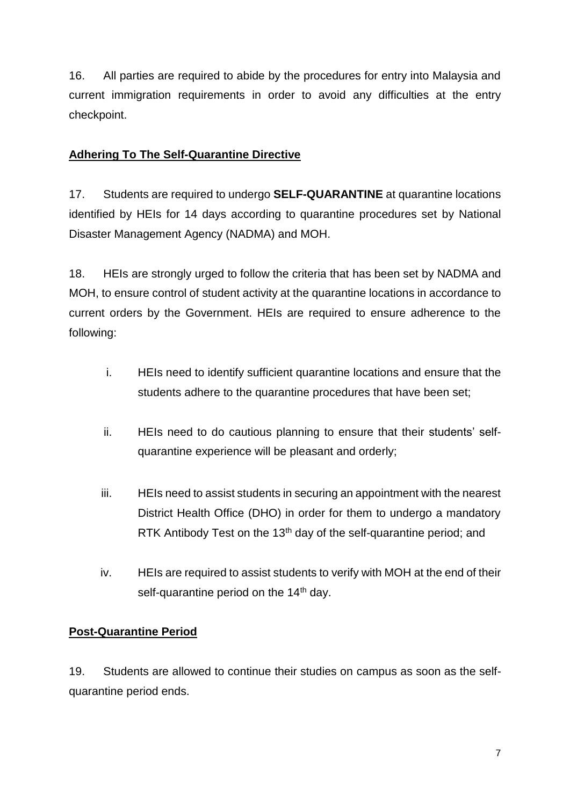16. All parties are required to abide by the procedures for entry into Malaysia and current immigration requirements in order to avoid any difficulties at the entry checkpoint.

#### **Adhering To The Self-Quarantine Directive**

17. Students are required to undergo **SELF-QUARANTINE** at quarantine locations identified by HEIs for 14 days according to quarantine procedures set by National Disaster Management Agency (NADMA) and MOH.

18. HEIs are strongly urged to follow the criteria that has been set by NADMA and MOH, to ensure control of student activity at the quarantine locations in accordance to current orders by the Government. HEIs are required to ensure adherence to the following:

- i. HEIs need to identify sufficient quarantine locations and ensure that the students adhere to the quarantine procedures that have been set;
- ii. HEIs need to do cautious planning to ensure that their students' selfquarantine experience will be pleasant and orderly;
- iii. HEIs need to assist students in securing an appointment with the nearest District Health Office (DHO) in order for them to undergo a mandatory RTK Antibody Test on the  $13<sup>th</sup>$  day of the self-quarantine period; and
- iv. HEIs are required to assist students to verify with MOH at the end of their self-quarantine period on the  $14<sup>th</sup>$  day.

# **Post-Quarantine Period**

19. Students are allowed to continue their studies on campus as soon as the selfquarantine period ends.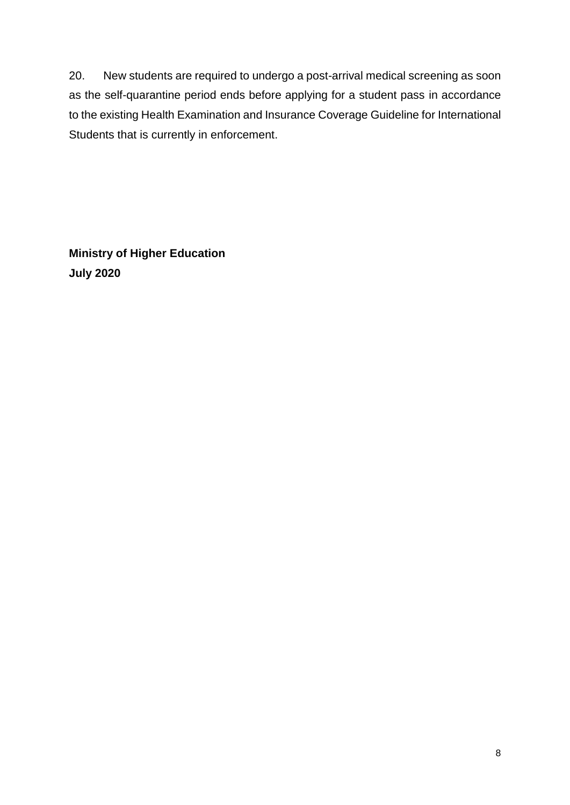20. New students are required to undergo a post-arrival medical screening as soon as the self-quarantine period ends before applying for a student pass in accordance to the existing Health Examination and Insurance Coverage Guideline for International Students that is currently in enforcement.

**Ministry of Higher Education July 2020**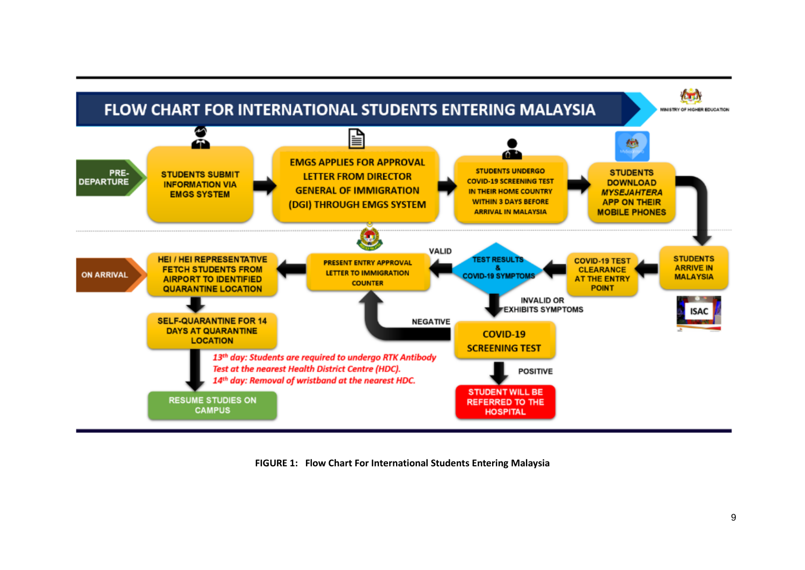

**FIGURE 1: Flow Chart For International Students Entering Malaysia**